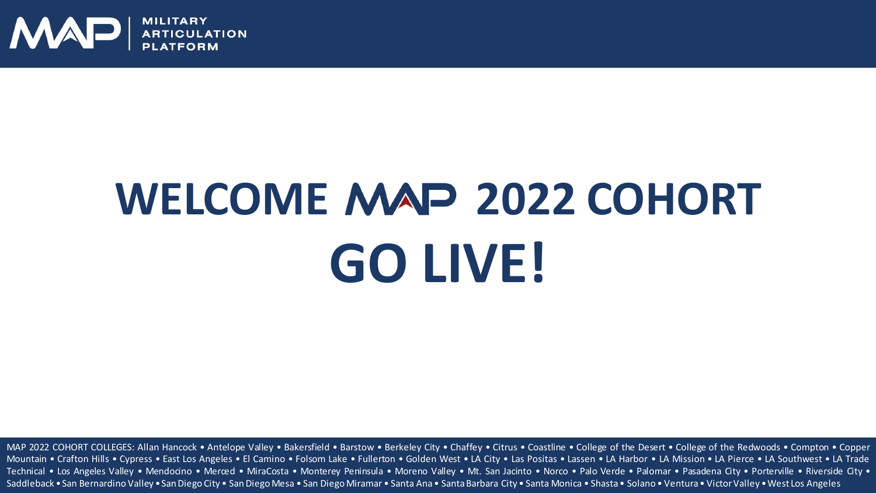

# **WELCOME 2022 COHORT GO LIVE!**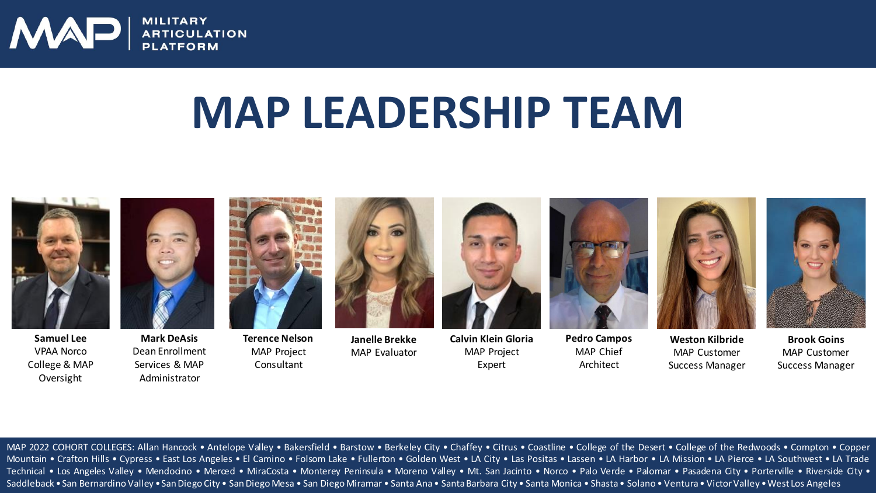

## **MAP LEADERSHIP TEAM**



**Samuel Lee** VPAA Norco College & MAP Oversight



**Mark DeAsis** Dean Enrollment Services & MAP Administrator **Terence Nelson** MAP Project Consultant



**Janelle Brekke** MAP Evaluator



**Calvin Klein Gloria** MAP Project Expert



**Pedro Campos** MAP Chief Architect



**Weston Kilbride** MAP Customer Success Manager

**Brook Goins** MAP Customer Success Manager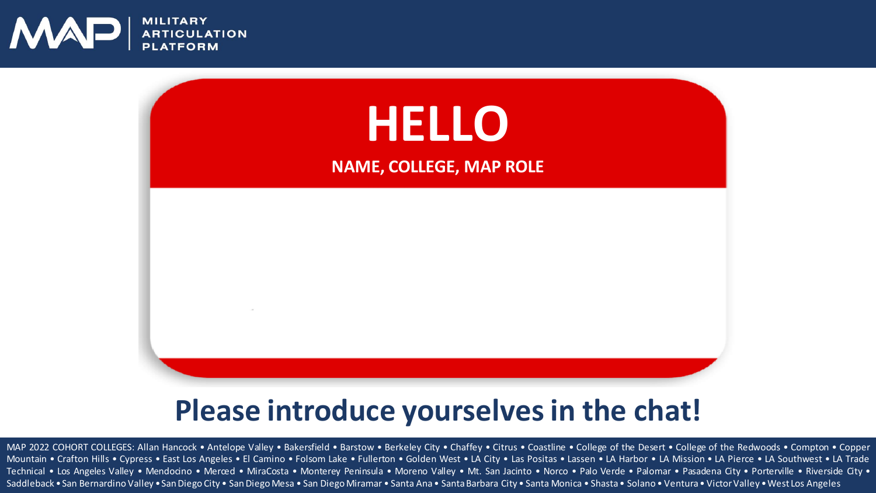



#### **Please introduce yourselves in the chat!**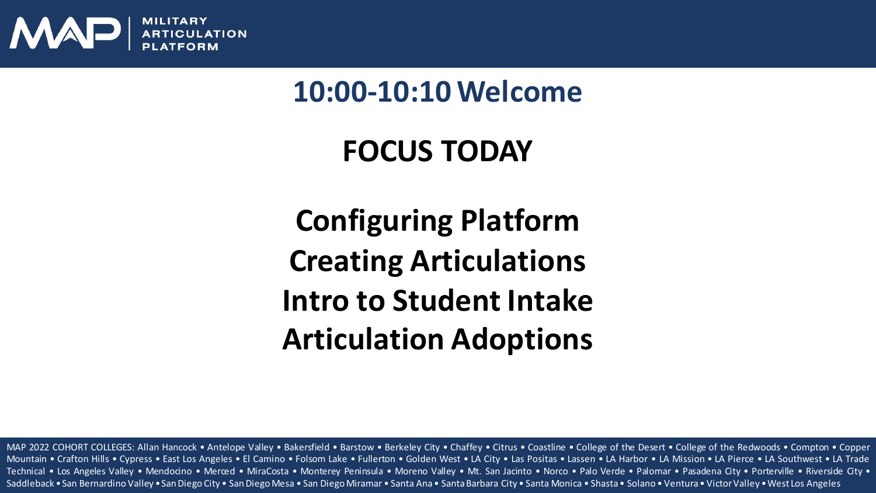

### **10:00-10:10 Welcome**

## **FOCUS TODAY**

**Configuring Platform Creating Articulations Intro to Student Intake Articulation Adoptions**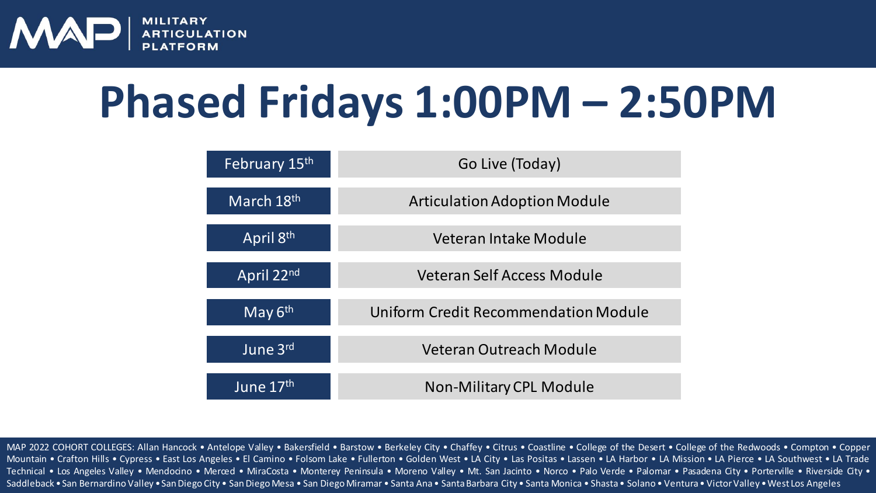

## **Phased Fridays 1:00PM – 2:50PM**

| February 15th          | Go Live (Today)                             |
|------------------------|---------------------------------------------|
| March 18 <sup>th</sup> | <b>Articulation Adoption Module</b>         |
| April 8th              | Veteran Intake Module                       |
| April 22nd             | Veteran Self Access Module                  |
| May $6th$              | <b>Uniform Credit Recommendation Module</b> |
| June 3rd               | <b>Veteran Outreach Module</b>              |
| June 17 <sup>th</sup>  | <b>Non-Military CPL Module</b>              |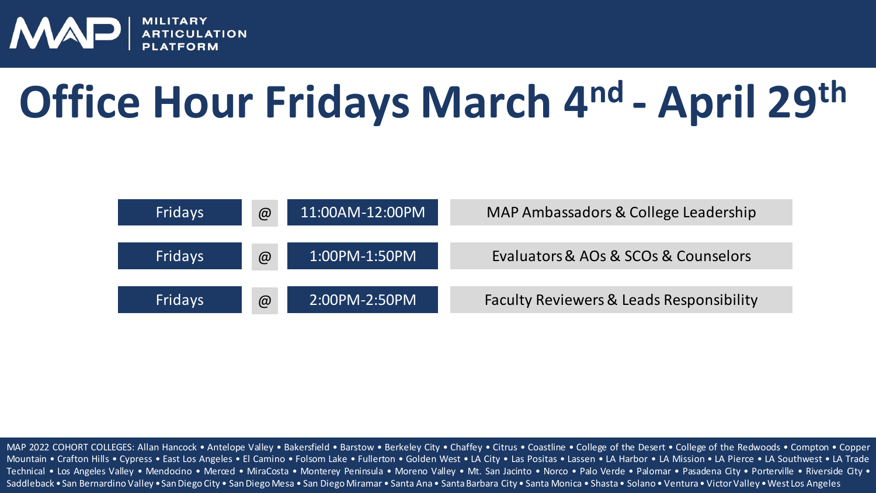

# **Office Hour Fridays March 4nd - April 29th**

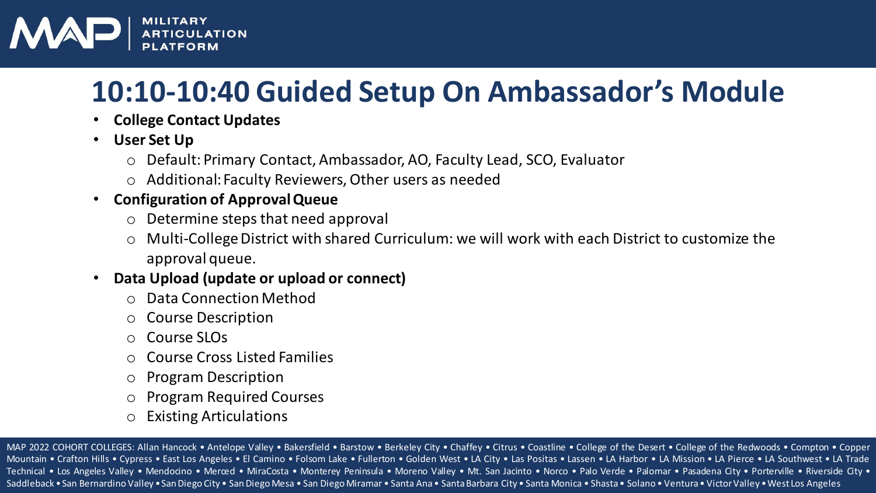

## **10:10-10:40 Guided Setup On Ambassador's Module**

- **College Contact Updates**
- **User Set Up**
	- o Default: Primary Contact, Ambassador, AO, Faculty Lead, SCO, Evaluator
	- o Additional: Faculty Reviewers, Other users as needed
- **Configuration of Approval Queue**
	- o Determine steps that need approval
	- o Multi-College District with shared Curriculum: we will work with each District to customize the approval queue.
- **Data Upload (update or upload or connect)**
	- o Data Connection Method
	- o Course Description
	- o Course SLOs
	- o Course Cross Listed Families
	- o Program Description
	- o Program Required Courses
	- o Existing Articulations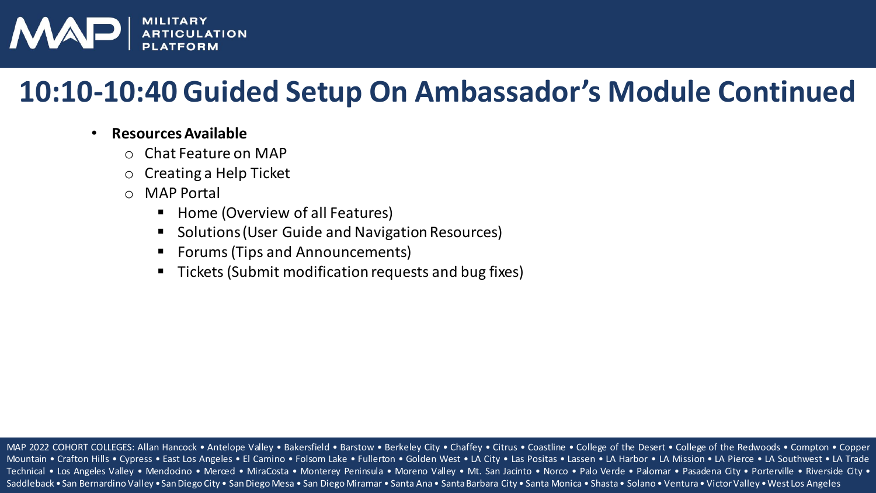

## **10:10-10:40 Guided Setup On Ambassador's Module Continued**

#### • **Resources Available**

- o Chat Feature on MAP
- o Creating a Help Ticket
- o MAP Portal
	- Home (Overview of all Features)
	- Solutions (User Guide and Navigation Resources)
	- Forums (Tips and Announcements)
	- Tickets (Submit modification requests and bug fixes)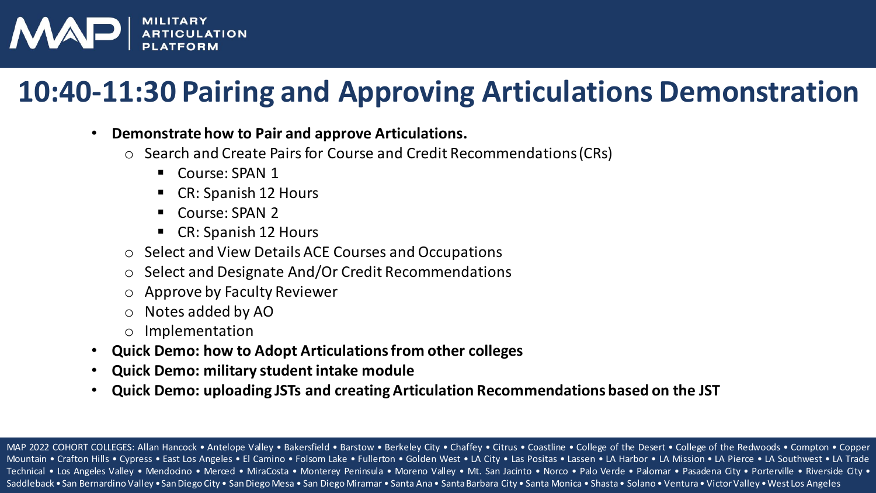

## **10:40-11:30 Pairing and Approving Articulations Demonstration**

- **Demonstrate how to Pair and approve Articulations.**
	- o Search and Create Pairs for Course and Credit Recommendations (CRs)
		- Course: SPAN 1
		- CR: Spanish 12 Hours
		- Course: SPAN 2
		- **CR: Spanish 12 Hours**
	- o Select and View Details ACE Courses and Occupations
	- o Select and Designate And/Or Credit Recommendations
	- Approve by Faculty Reviewer
	- Notes added by AO
	- o Implementation
- **Quick Demo: how to Adopt Articulations from other colleges**
- **Quick Demo: military student intake module**
- **Quick Demo: uploading JSTs and creating Articulation Recommendations based on the JST**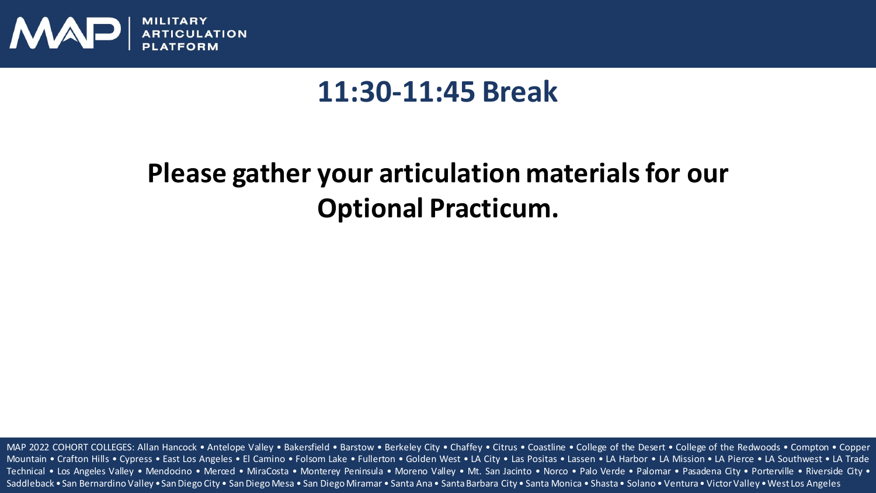

#### **11:30-11:45 Break**

#### **Please gather your articulation materials for our Optional Practicum.**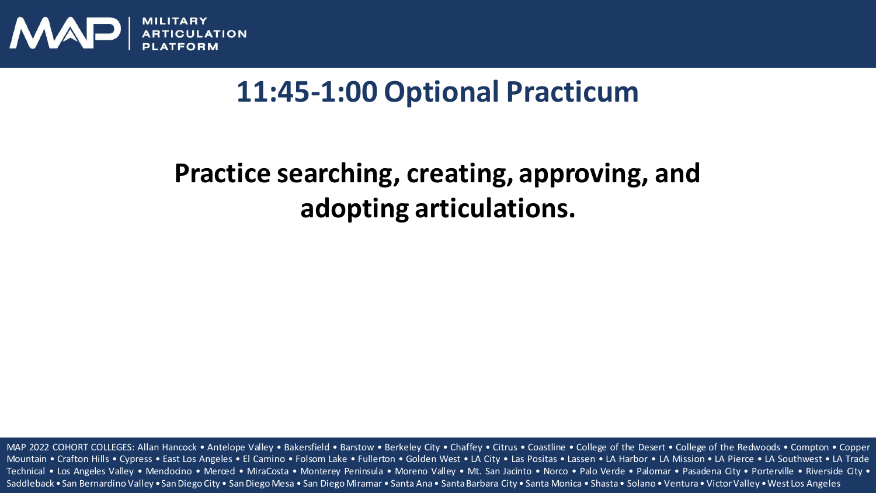

### **11:45-1:00 Optional Practicum**

### **Practice searching, creating, approving, and adopting articulations.**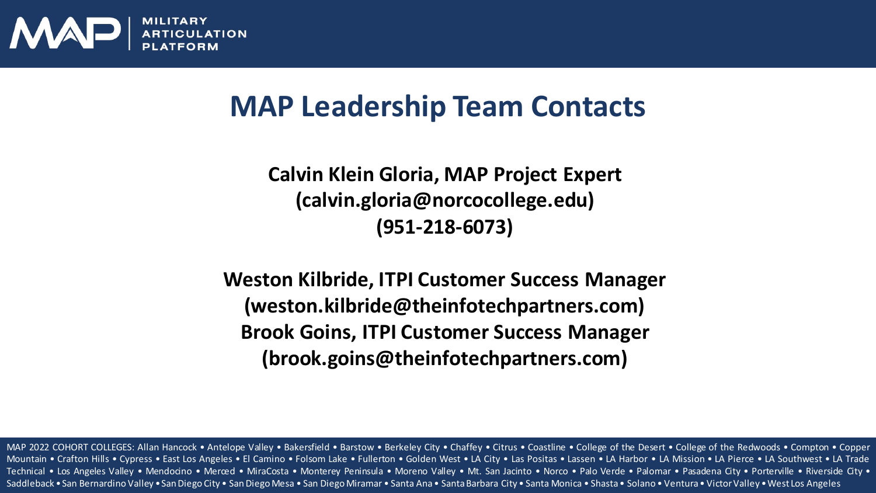

#### **MAP Leadership Team Contacts**

**Calvin Klein Gloria, MAP Project Expert (calvin.gloria@norcocollege.edu) (951-218-6073)**

**Weston Kilbride, ITPI Customer Success Manager (weston.kilbride@theinfotechpartners.com) Brook Goins, ITPI Customer Success Manager (brook.goins@theinfotechpartners.com)**